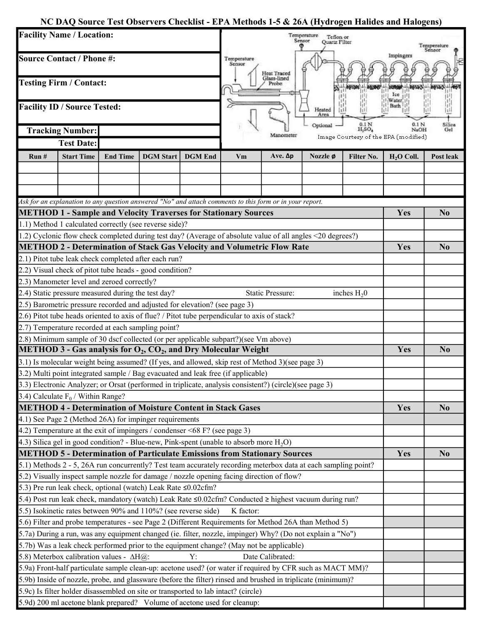## NC DAQ Source Test Observers Checklist - EPA Methods 1-5 & 26A (Hydrogen Halides and Halogens)

| <b>Facility Name / Location:</b><br><b>Source Contact / Phone #:</b><br><b>Testing Firm / Contact:</b><br><b>Facility ID / Source Tested:</b>                                                                      |                                                                                                              |                 |                  |                | Temperature<br>Teflon or<br>Sensor<br>Quartz Filter<br>Temperature<br>Sensor   |                         |          |                |                                      |                         |  |
|--------------------------------------------------------------------------------------------------------------------------------------------------------------------------------------------------------------------|--------------------------------------------------------------------------------------------------------------|-----------------|------------------|----------------|--------------------------------------------------------------------------------|-------------------------|----------|----------------|--------------------------------------|-------------------------|--|
|                                                                                                                                                                                                                    |                                                                                                              |                 |                  |                | Temperature<br>Sensor<br>Heat Traced<br>Glass-lined<br>Probe<br>Heated<br>Area |                         |          |                | Impingers<br>Ice                     |                         |  |
|                                                                                                                                                                                                                    |                                                                                                              |                 |                  |                |                                                                                |                         |          |                |                                      |                         |  |
|                                                                                                                                                                                                                    |                                                                                                              |                 |                  |                |                                                                                |                         |          |                |                                      | <b>Tracking Number:</b> |  |
|                                                                                                                                                                                                                    | <b>Test Date:</b>                                                                                            |                 |                  |                |                                                                                |                         |          |                | Image Courtesy of the EPA (modified) |                         |  |
| Run#                                                                                                                                                                                                               | <b>Start Time</b>                                                                                            | <b>End Time</b> | <b>DGM</b> Start | <b>DGM</b> End | Vm                                                                             | Ave. Δ $p$              | Nozzle ø | Filter No.     | $H2O$ Coll.                          | Post leak               |  |
|                                                                                                                                                                                                                    |                                                                                                              |                 |                  |                |                                                                                |                         |          |                |                                      |                         |  |
|                                                                                                                                                                                                                    |                                                                                                              |                 |                  |                |                                                                                |                         |          |                |                                      |                         |  |
|                                                                                                                                                                                                                    |                                                                                                              |                 |                  |                |                                                                                |                         |          |                |                                      |                         |  |
|                                                                                                                                                                                                                    | Ask for an explanation to any question answered "No" and attach comments to this form or in your report.     |                 |                  |                |                                                                                |                         |          |                |                                      |                         |  |
| <b>METHOD 1 - Sample and Velocity Traverses for Stationary Sources</b>                                                                                                                                             |                                                                                                              |                 |                  |                |                                                                                |                         |          |                | Yes                                  | N <sub>0</sub>          |  |
|                                                                                                                                                                                                                    | 1.1) Method 1 calculated correctly (see reverse side)?                                                       |                 |                  |                |                                                                                |                         |          |                |                                      |                         |  |
| 1.2) Cyclonic flow check completed during test day? (Average of absolute value of all angles <20 degrees?)                                                                                                         |                                                                                                              |                 |                  |                |                                                                                |                         |          |                |                                      |                         |  |
| <b>METHOD 2 - Determination of Stack Gas Velocity and Volumetric Flow Rate</b>                                                                                                                                     |                                                                                                              |                 |                  |                |                                                                                |                         |          |                | Yes                                  | N <sub>0</sub>          |  |
|                                                                                                                                                                                                                    | 2.1) Pitot tube leak check completed after each run?                                                         |                 |                  |                |                                                                                |                         |          |                |                                      |                         |  |
|                                                                                                                                                                                                                    | 2.2) Visual check of pitot tube heads - good condition?                                                      |                 |                  |                |                                                                                |                         |          |                |                                      |                         |  |
|                                                                                                                                                                                                                    | 2.3) Manometer level and zeroed correctly?                                                                   |                 |                  |                |                                                                                |                         |          |                |                                      |                         |  |
|                                                                                                                                                                                                                    | 2.4) Static pressure measured during the test day?                                                           |                 |                  |                |                                                                                | <b>Static Pressure:</b> |          | inches $H_2$ 0 |                                      |                         |  |
|                                                                                                                                                                                                                    | 2.5) Barometric pressure recorded and adjusted for elevation? (see page 3)                                   |                 |                  |                |                                                                                |                         |          |                |                                      |                         |  |
|                                                                                                                                                                                                                    | 2.6) Pitot tube heads oriented to axis of flue? / Pitot tube perpendicular to axis of stack?                 |                 |                  |                |                                                                                |                         |          |                |                                      |                         |  |
|                                                                                                                                                                                                                    | 2.7) Temperature recorded at each sampling point?                                                            |                 |                  |                |                                                                                |                         |          |                |                                      |                         |  |
| 2.8) Minimum sample of 30 dscf collected (or per applicable subpart?)(see Vm above)                                                                                                                                |                                                                                                              |                 |                  |                |                                                                                |                         |          |                |                                      |                         |  |
| <b>METHOD 3 - Gas analysis for <math>O_2</math>, <math>CO_2</math>, and Dry Molecular Weight</b><br>3.1) Is molecular weight being assumed? (If yes, and allowed, skip rest of Method 3) (see page 3)              |                                                                                                              |                 |                  |                |                                                                                |                         |          |                | Yes                                  | N <sub>0</sub>          |  |
|                                                                                                                                                                                                                    |                                                                                                              |                 |                  |                |                                                                                |                         |          |                |                                      |                         |  |
|                                                                                                                                                                                                                    | 3.2) Multi point integrated sample / Bag evacuated and leak free (if applicable)                             |                 |                  |                |                                                                                |                         |          |                |                                      |                         |  |
|                                                                                                                                                                                                                    | 3.3) Electronic Analyzer; or Orsat (performed in triplicate, analysis consistent?) (circle)(see page 3)      |                 |                  |                |                                                                                |                         |          |                |                                      |                         |  |
| 3.4) Calculate $F_0$ / Within Range?                                                                                                                                                                               |                                                                                                              |                 |                  |                |                                                                                |                         |          |                | Yes                                  |                         |  |
| <b>METHOD 4 - Determination of Moisture Content in Stack Gases</b><br>4.1) See Page 2 (Method 26A) for impinger requirements                                                                                       |                                                                                                              |                 |                  |                |                                                                                |                         |          |                |                                      | N <sub>0</sub>          |  |
|                                                                                                                                                                                                                    |                                                                                                              |                 |                  |                |                                                                                |                         |          |                |                                      |                         |  |
|                                                                                                                                                                                                                    | 4.2) Temperature at the exit of impingers / condenser $\leq 68$ F? (see page 3)                              |                 |                  |                |                                                                                |                         |          |                |                                      |                         |  |
|                                                                                                                                                                                                                    | 4.3) Silica gel in good condition? - Blue-new, Pink-spent (unable to absorb more $H_2O$ )                    |                 |                  |                |                                                                                |                         |          |                |                                      |                         |  |
| <b>METHOD 5 - Determination of Particulate Emissions from Stationary Sources</b><br>5.1) Methods 2 - 5, 26A run concurrently? Test team accurately recording meterbox data at each sampling point?                 |                                                                                                              |                 |                  |                |                                                                                |                         |          |                | Yes                                  | N <sub>0</sub>          |  |
|                                                                                                                                                                                                                    |                                                                                                              |                 |                  |                |                                                                                |                         |          |                |                                      |                         |  |
|                                                                                                                                                                                                                    | 5.2) Visually inspect sample nozzle for damage / nozzle opening facing direction of flow?                    |                 |                  |                |                                                                                |                         |          |                |                                      |                         |  |
|                                                                                                                                                                                                                    | 5.3) Pre run leak check, optional (watch) Leak Rate ≤0.02cfm?                                                |                 |                  |                |                                                                                |                         |          |                |                                      |                         |  |
|                                                                                                                                                                                                                    | 5.4) Post run leak check, mandatory (watch) Leak Rate ≤0.02cfm? Conducted ≥ highest vacuum during run?       |                 |                  |                |                                                                                |                         |          |                |                                      |                         |  |
|                                                                                                                                                                                                                    | 5.5) Isokinetic rates between 90% and 110%? (see reverse side)                                               |                 |                  |                | K factor:                                                                      |                         |          |                |                                      |                         |  |
| 5.6) Filter and probe temperatures - see Page 2 (Different Requirements for Method 26A than Method 5)<br>5.7a) During a run, was any equipment changed (ie. filter, nozzle, impinger) Why? (Do not explain a "No") |                                                                                                              |                 |                  |                |                                                                                |                         |          |                |                                      |                         |  |
|                                                                                                                                                                                                                    |                                                                                                              |                 |                  |                |                                                                                |                         |          |                |                                      |                         |  |
|                                                                                                                                                                                                                    | 5.7b) Was a leak check performed prior to the equipment change? (May not be applicable)                      |                 |                  |                |                                                                                | Date Calibrated:        |          |                |                                      |                         |  |
|                                                                                                                                                                                                                    | 5.8) Meterbox calibration values - $\Delta H(\omega)$ :                                                      |                 |                  | Y:             |                                                                                |                         |          |                |                                      |                         |  |
|                                                                                                                                                                                                                    | 5.9a) Front-half particulate sample clean-up: acetone used? (or water if required by CFR such as MACT MM)?   |                 |                  |                |                                                                                |                         |          |                |                                      |                         |  |
|                                                                                                                                                                                                                    | 5.9b) Inside of nozzle, probe, and glassware (before the filter) rinsed and brushed in triplicate (minimum)? |                 |                  |                |                                                                                |                         |          |                |                                      |                         |  |
|                                                                                                                                                                                                                    | 5.9c) Is filter holder disassembled on site or transported to lab intact? (circle)                           |                 |                  |                |                                                                                |                         |          |                |                                      |                         |  |
|                                                                                                                                                                                                                    | 5.9d) 200 ml acetone blank prepared? Volume of acetone used for cleanup:                                     |                 |                  |                |                                                                                |                         |          |                |                                      |                         |  |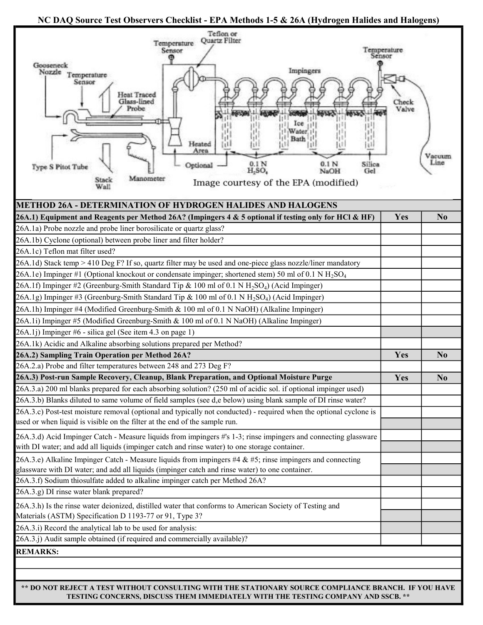## NC DAQ Source Test Observers Checklist - EPA Methods 1-5 & 26A (Hydrogen Halides and Halogens)



\*\* DO NOT REJECT A TEST WITHOUT CONSULTING WITH THE STATIONARY SOURCE COMPLIANCE BRANCH. IF YOU HAVE TESTING CONCERNS, DISCUSS THEM IMMEDIATELY WITH THE TESTING COMPANY AND SSCB. \*\*